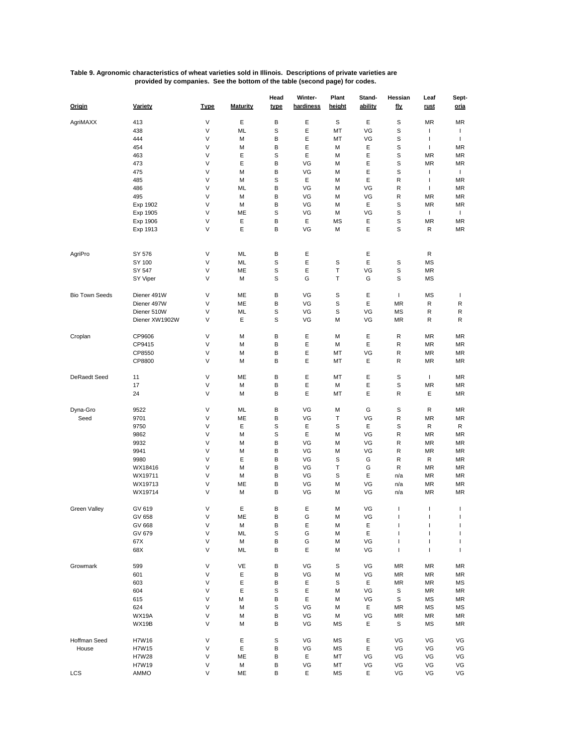## **Table 9. Agronomic characteristics of wheat varieties sold in Illinois. Descriptions of private varieties are provided by companies. See the bottom of the table (second page) for codes.**

| Origin                | Variety            | <b>Type</b> | <b>Maturity</b> | Head<br>type | Winter-<br>hardiness | Plant<br>height | Stand-<br>ability | Hessian<br><u>fly</u>    | Leaf<br><u>rust</u>      | Sept-<br><u>oria</u> |
|-----------------------|--------------------|-------------|-----------------|--------------|----------------------|-----------------|-------------------|--------------------------|--------------------------|----------------------|
| AgriMAXX              | 413                | V           | Ε               | В            | Ε                    | S               | Ε                 | S                        | MR                       | <b>MR</b>            |
|                       | 438                | V           | ML              | S            | Е                    | MT              | VG                | S                        | I                        | T                    |
|                       | 444                | V           | M               | В            | Ε                    | MT              | VG                | S                        | I                        | T                    |
|                       | 454                | V           | M               | В            | Ε                    | М               | Ε                 | S                        | I                        | MR                   |
|                       | 463                | V           | Ε               | S            | Ε                    | М               | Ε                 | S                        | MR                       | MR                   |
|                       | 473                | V           | E               | В            | VG                   | М               | Ε                 | S                        | MR                       | MR                   |
|                       | 475                | V           | M               | В            | VG                   | М               | Ε                 | S                        | J.                       | T                    |
|                       | 485                | V           | М               | S            | Ε                    | М               | Ε                 | R                        | $\overline{\phantom{a}}$ | MR                   |
|                       | 486                | V           | ML              | В            | VG                   | М               | VG                | R                        | J.                       | MR                   |
|                       | 495                | V           | M               | В            | VG                   | М               | VG                | R                        | MR                       | MR                   |
|                       | Exp 1902           | V           | M               | В            | VG                   | М               | Ε                 | S                        | ΜR                       | MR                   |
|                       | Exp 1905           | V           | ME              | S            | VG                   | М               | VG                | S                        | T                        | T.                   |
|                       | Exp 1906           | V           | Ε               | В            | Ε                    | MS              | Ε                 | S                        | ΜR                       | <b>MR</b>            |
|                       | Exp 1913           | V           | E               | B            | VG                   | М               | E                 | S                        | R                        | MR                   |
|                       |                    |             |                 |              |                      |                 |                   |                          |                          |                      |
| AgriPro               | SY 576             | V           | ML              | В            | Ε                    |                 | Ε                 |                          | R                        |                      |
|                       | SY 100             | V           | ML              | S            | Ε                    | S               | Ε                 | S                        | MS                       |                      |
|                       | SY 547             | V           | ME              | S            | Ε                    | Т               | VG                | S                        | ΜR                       |                      |
|                       | SY Viper           | V           | M               | S            | G                    | Т               | G                 | S                        | MS                       |                      |
| <b>Bio Town Seeds</b> | Diener 491W        | V           | ME              | В            | VG                   | S               | Ε                 | $\mathbf{I}$             | MS                       | T                    |
|                       | Diener 497W        | V           | ME              | B            | VG                   | S               | Ε                 | MR                       | R                        | R                    |
|                       | Diener 510W        | V           | ML              | S            | VG                   | S               | VG                | MS                       | R                        | R                    |
|                       | Diener XW1902W     | V           | Ε               | S            | VG                   | М               | VG                | MR                       | R                        | R                    |
| Croplan               | CP9606             | V           | M               | В            | Ε                    | М               | Ε                 | R                        | MR                       | MR                   |
|                       | CP9415             | V           | M               | В            | Ε                    | М               | Ε                 | R                        | ΜR                       | MR                   |
|                       | CP8550             | V           | М               | В            | Ε                    | МT              | VG                | R                        | ΜR                       | MR                   |
|                       | CP8800             | V           | М               | В            | Ε                    | MT              | Ε                 | R                        | ΜR                       | ΜR                   |
| DeRaedt Seed          | 11                 | V           | ME              | В            | Ε                    | MT              | Ε                 | S                        | T                        | <b>MR</b>            |
|                       | 17                 | V           | M               | В            | Ε                    | М               | Ε                 | S                        | MR                       | MR                   |
|                       | 24                 | V           | М               | В            | Е                    | МT              | E                 | R                        | Ε                        | <b>MR</b>            |
| Dyna-Gro              | 9522               | V           | ML              | В            | VG                   | М               | G                 | S                        | R                        | MR                   |
| Seed                  | 9701               | V           | ME              | В            | VG                   | Т               | VG                | R                        | MR                       | MR                   |
|                       | 9750               | V           | Ε               | S            | Ε                    | S               | Ε                 | S                        | R                        | R                    |
|                       | 9862               | V           | М               | S            | Е                    | М               | VG                | R                        | MR                       | ΜR                   |
|                       | 9932               | V           | M               | В            | VG                   | М               | VG                | R                        | ΜR                       | MR                   |
|                       | 9941               | V           | М               | В            | VG                   | М               | VG                | R                        | ΜR                       | MR                   |
|                       | 9980               | V           | Ε               | В            | VG                   | S               | G                 | R                        | R                        | ΜR                   |
|                       |                    | V           | M               | В            | VG                   | т               | G                 | R                        | MR                       | <b>MR</b>            |
|                       | WX18416<br>WX19711 | V           | M               | В            | VG                   | S               | Ε                 |                          | ΜR                       | <b>MR</b>            |
|                       |                    | V           |                 |              |                      |                 |                   | n/a                      |                          |                      |
|                       | WX19713            | V           | ME              | В<br>В       | VG                   | М               | VG                | n/a                      | ΜR                       | <b>MR</b><br>MR      |
|                       | WX19714            |             | M               |              | VG                   | М               | VG                | n/a                      | ΜR                       |                      |
| <b>Green Valley</b>   | GV 619             | V           | Ε               | В            | Ε                    | М               | VG                | $\overline{\phantom{a}}$ | $\overline{\phantom{a}}$ | T                    |
|                       | GV 658             | V           | ME              | В            | G                    | М               | VG                | $\mathbf{I}$             | T                        | т                    |
|                       | GV 668             | V           | М               | В            | Ε                    | М               | Ε                 | J.                       | T                        | T                    |
|                       | GV 679             | V           | ML              | S            | G                    | М               | Ε                 | $\overline{\phantom{a}}$ | ı                        | T                    |
|                       | 67X                | V           | М               | В            | G                    | М               | VG                | $\overline{\phantom{a}}$ | I                        | T                    |
|                       | 68X                | V           | ML              | B            | Е                    | М               | VG                | T                        | I                        | T                    |
| Growmark              | 599                | V           | VE              | В            | VG                   | S               | VG                | ΜR                       | ΜR                       | MR                   |
|                       | 601                | V           | Ε               | В            | VG                   | М               | VG                | MR                       | ΜR                       | MR                   |
|                       | 603                | V           | Ε               | В            | Ε                    | S               | Е                 | MR                       | ΜR                       | MS                   |
|                       | 604                | V           | Ε               | S            | Ε                    | м               | VG                | S                        | ΜR                       | MR                   |
|                       | 615                | V           | М               | В            | Ε                    | М               | VG                | S                        | МS                       | MR                   |
|                       | 624                | V           | M               | S            | VG                   | М               | Ε                 | <b>MR</b>                | ΜS                       | МS                   |
|                       | WX19A              | V           | М               | В            | VG                   | М               | VG                | MR                       | ΜR                       | MR                   |
|                       | WX19B              | V           | М               | В            | VG                   | MS              | Ε                 | S                        | ΜS                       | MR                   |
| Hoffman Seed          | H7W16              | V           | Ε               | S            | VG                   | MS              | Ε                 | VG                       | VG                       | VG                   |
|                       | H7W15              | V           | Ε               | В            | VG                   | MS              | Ε                 | VG                       | VG                       | VG                   |
| House                 | H7W28              | V           | ME              | В            | Е                    | МT              | VG                | VG                       | VG                       | VG                   |
|                       |                    | V           |                 |              |                      |                 |                   |                          | VG                       |                      |
| LCS                   | H7W19<br>AMMO      | V           | М               | В            | VG                   | МT<br>MS        | VG                | VG<br>VG                 | VG                       | VG<br>VG             |
|                       |                    |             | ME              | В            | Ε                    |                 | Ε                 |                          |                          |                      |